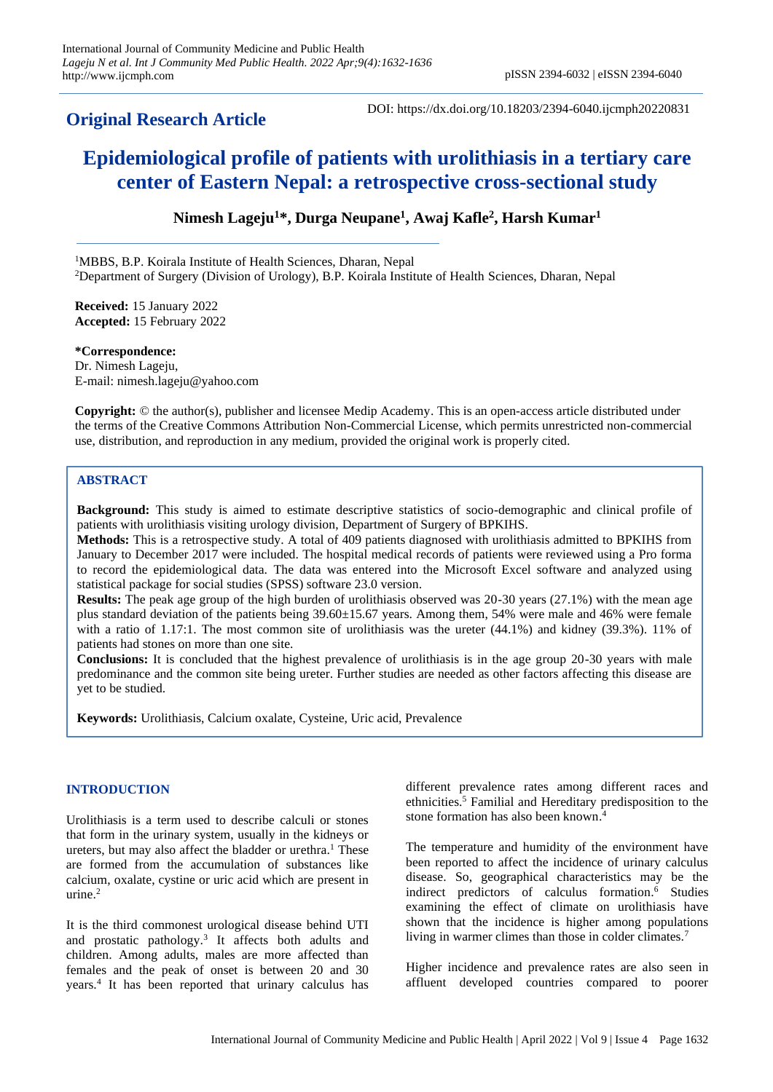## **Original Research Article**

DOI: https://dx.doi.org/10.18203/2394-6040.ijcmph20220831

# **Epidemiological profile of patients with urolithiasis in a tertiary care center of Eastern Nepal: a retrospective cross-sectional study**

**Nimesh Lageju<sup>1</sup>\*, Durga Neupane<sup>1</sup> , Awaj Kafle<sup>2</sup> , Harsh Kumar<sup>1</sup>**

<sup>1</sup>MBBS, B.P. Koirala Institute of Health Sciences, Dharan, Nepal <sup>2</sup>Department of Surgery (Division of Urology), B.P. Koirala Institute of Health Sciences, Dharan, Nepal

**Received:** 15 January 2022 **Accepted:** 15 February 2022

**\*Correspondence:** Dr. Nimesh Lageju, E-mail: nimesh.lageju@yahoo.com

**Copyright:** © the author(s), publisher and licensee Medip Academy. This is an open-access article distributed under the terms of the Creative Commons Attribution Non-Commercial License, which permits unrestricted non-commercial use, distribution, and reproduction in any medium, provided the original work is properly cited.

### **ABSTRACT**

**Background:** This study is aimed to estimate descriptive statistics of socio-demographic and clinical profile of patients with urolithiasis visiting urology division, Department of Surgery of BPKIHS.

**Methods:** This is a retrospective study. A total of 409 patients diagnosed with urolithiasis admitted to BPKIHS from January to December 2017 were included. The hospital medical records of patients were reviewed using a Pro forma to record the epidemiological data. The data was entered into the Microsoft Excel software and analyzed using statistical package for social studies (SPSS) software 23.0 version.

**Results:** The peak age group of the high burden of urolithiasis observed was 20-30 years (27.1%) with the mean age plus standard deviation of the patients being 39.60±15.67 years. Among them, 54% were male and 46% were female with a ratio of 1.17:1. The most common site of urolithiasis was the ureter  $(44.1\%)$  and kidney  $(39.3\%)$ . 11% of patients had stones on more than one site.

**Conclusions:** It is concluded that the highest prevalence of urolithiasis is in the age group 20-30 years with male predominance and the common site being ureter. Further studies are needed as other factors affecting this disease are yet to be studied.

**Keywords:** Urolithiasis, Calcium oxalate, Cysteine, Uric acid, Prevalence

#### **INTRODUCTION**

Urolithiasis is a term used to describe calculi or stones that form in the urinary system, usually in the kidneys or ureters, but may also affect the bladder or urethra.<sup>1</sup> These are formed from the accumulation of substances like calcium, oxalate, cystine or uric acid which are present in urine.<sup>2</sup>

It is the third commonest urological disease behind UTI and prostatic pathology.<sup>3</sup> It affects both adults and children. Among adults, males are more affected than females and the peak of onset is between 20 and 30 years.<sup>4</sup> It has been reported that urinary calculus has different prevalence rates among different races and ethnicities. <sup>5</sup> Familial and Hereditary predisposition to the stone formation has also been known. 4

The temperature and humidity of the environment have been reported to affect the incidence of urinary calculus disease. So, geographical characteristics may be the indirect predictors of calculus formation. <sup>6</sup> Studies examining the effect of climate on urolithiasis have shown that the incidence is higher among populations living in warmer climes than those in colder climates.<sup>7</sup>

Higher incidence and prevalence rates are also seen in affluent developed countries compared to poorer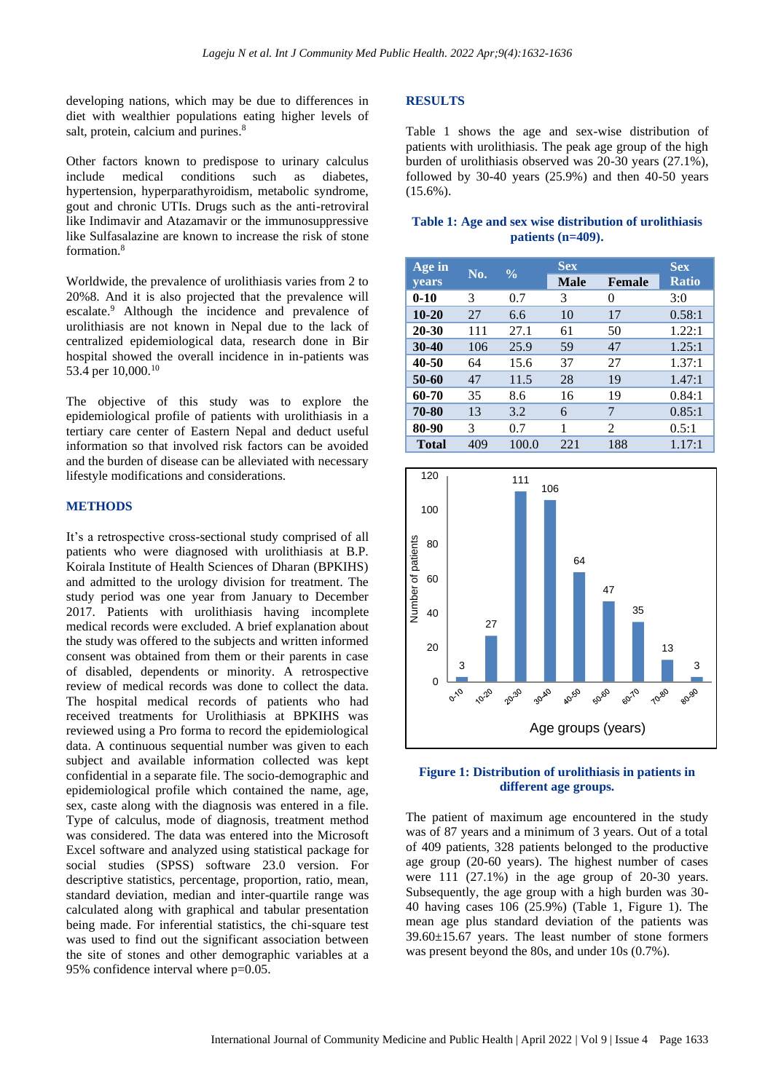developing nations, which may be due to differences in diet with wealthier populations eating higher levels of salt, protein, calcium and purines.<sup>8</sup>

Other factors known to predispose to urinary calculus include medical conditions such as diabetes, hypertension, hyperparathyroidism, metabolic syndrome, gout and chronic UTIs. Drugs such as the anti-retroviral like Indimavir and Atazamavir or the immunosuppressive like Sulfasalazine are known to increase the risk of stone formation.<sup>8</sup>

Worldwide, the prevalence of urolithiasis varies from 2 to 20%8. And it is also projected that the prevalence will escalate.<sup>9</sup> Although the incidence and prevalence of urolithiasis are not known in Nepal due to the lack of centralized epidemiological data, research done in Bir hospital showed the overall incidence in in-patients was 53.4 per 10,000.<sup>10</sup>

The objective of this study was to explore the epidemiological profile of patients with urolithiasis in a tertiary care center of Eastern Nepal and deduct useful information so that involved risk factors can be avoided and the burden of disease can be alleviated with necessary lifestyle modifications and considerations.

#### **METHODS**

It's a retrospective cross-sectional study comprised of all patients who were diagnosed with urolithiasis at B.P. Koirala Institute of Health Sciences of Dharan (BPKIHS) and admitted to the urology division for treatment. The study period was one year from January to December 2017. Patients with urolithiasis having incomplete medical records were excluded. A brief explanation about the study was offered to the subjects and written informed consent was obtained from them or their parents in case of disabled, dependents or minority. A retrospective review of medical records was done to collect the data. The hospital medical records of patients who had received treatments for Urolithiasis at BPKIHS was reviewed using a Pro forma to record the epidemiological data. A continuous sequential number was given to each subject and available information collected was kept confidential in a separate file. The socio-demographic and epidemiological profile which contained the name, age, sex, caste along with the diagnosis was entered in a file. Type of calculus, mode of diagnosis, treatment method was considered. The data was entered into the Microsoft Excel software and analyzed using statistical package for social studies (SPSS) software 23.0 version. For descriptive statistics, percentage, proportion, ratio, mean, standard deviation, median and inter-quartile range was calculated along with graphical and tabular presentation being made. For inferential statistics, the chi-square test was used to find out the significant association between the site of stones and other demographic variables at a 95% confidence interval where p=0.05.

#### **RESULTS**

Table 1 shows the age and sex-wise distribution of patients with urolithiasis. The peak age group of the high burden of urolithiasis observed was 20-30 years (27.1%), followed by 30-40 years (25.9%) and then 40-50 years  $(15.6\%)$ .

#### **Table 1: Age and sex wise distribution of urolithiasis patients (n=409).**

| Age in       | No. | $\frac{0}{0}$ | Sex.        | <b>Sex</b>    |              |
|--------------|-----|---------------|-------------|---------------|--------------|
| <b>years</b> |     |               | <b>Male</b> | <b>Female</b> | <b>Ratio</b> |
| $0 - 10$     | 3   | 0.7           | 3           | 0             | 3:0          |
| $10 - 20$    | 27  | 6.6           | 10          | 17            | 0.58:1       |
| $20 - 30$    | 111 | 27.1          | 61          | 50            | 1.22:1       |
| 30-40        | 106 | 25.9          | 59          | 47            | 1.25:1       |
| 40-50        | 64  | 15.6          | 37          | 27            | 1.37:1       |
| 50-60        | 47  | 11.5          | 28          | 19            | 1.47:1       |
| 60-70        | 35  | 8.6           | 16          | 19            | 0.84:1       |
| 70-80        | 13  | 3.2           | 6           | 7             | 0.85:1       |
| 80-90        | 3   | 0.7           | 1           | 2             | 0.5:1        |
| <b>Total</b> | 409 | 100.0         | 221         | 188           | 1.17:1       |



#### **Figure 1: Distribution of urolithiasis in patients in different age groups.**

The patient of maximum age encountered in the study was of 87 years and a minimum of 3 years. Out of a total of 409 patients, 328 patients belonged to the productive age group (20-60 years). The highest number of cases were 111 (27.1%) in the age group of 20-30 years. Subsequently, the age group with a high burden was 30- 40 having cases 106 (25.9%) (Table 1, Figure 1). The mean age plus standard deviation of the patients was 39.60±15.67 years. The least number of stone formers was present beyond the 80s, and under 10s (0.7%).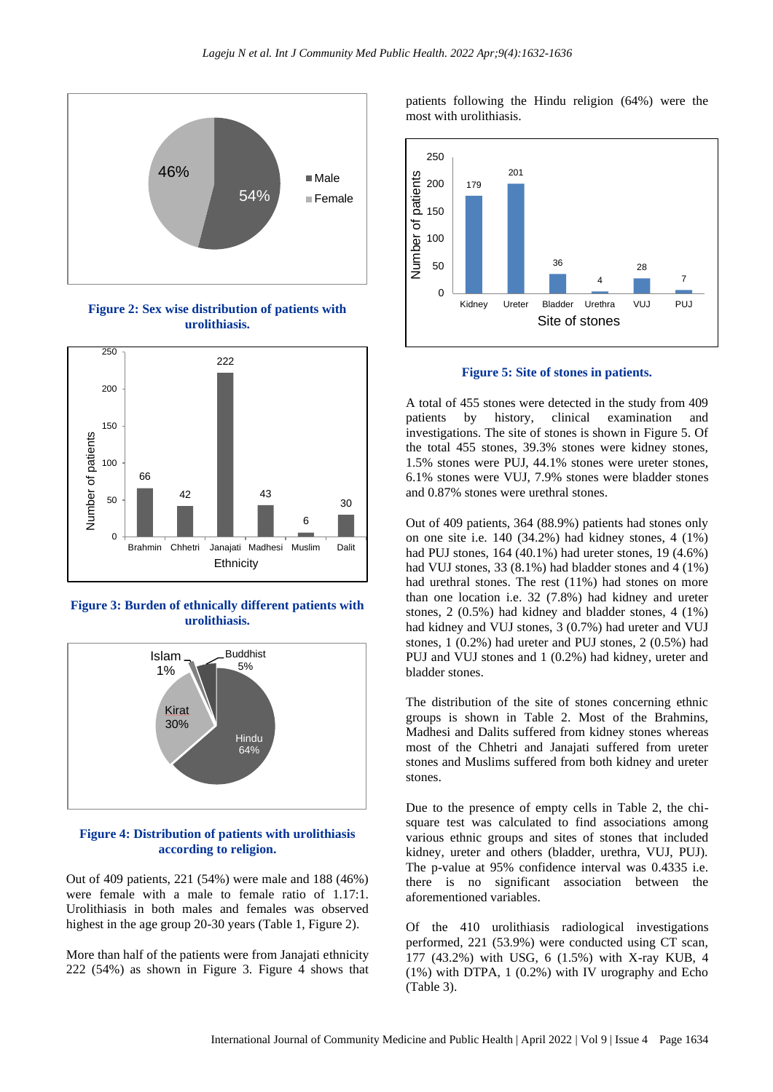

**Figure 2: Sex wise distribution of patients with urolithiasis.**



**Figure 3: Burden of ethnically different patients with urolithiasis.**



#### **Figure 4: Distribution of patients with urolithiasis according to religion.**

Out of 409 patients, 221 (54%) were male and 188 (46%) were female with a male to female ratio of 1.17:1. Urolithiasis in both males and females was observed highest in the age group 20-30 years (Table 1, Figure 2).

More than half of the patients were from Janajati ethnicity 222 (54%) as shown in Figure 3. Figure 4 shows that patients following the Hindu religion (64%) were the most with urolithiasis.



**Figure 5: Site of stones in patients.**

A total of 455 stones were detected in the study from 409 patients by history, clinical examination and investigations. The site of stones is shown in Figure 5. Of the total 455 stones, 39.3% stones were kidney stones, 1.5% stones were PUJ, 44.1% stones were ureter stones, 6.1% stones were VUJ, 7.9% stones were bladder stones and 0.87% stones were urethral stones.

Out of 409 patients, 364 (88.9%) patients had stones only on one site i.e. 140 (34.2%) had kidney stones, 4 (1%) had PUJ stones, 164 (40.1%) had ureter stones, 19 (4.6%) had VUJ stones, 33 (8.1%) had bladder stones and 4 (1%) had urethral stones. The rest (11%) had stones on more than one location i.e. 32 (7.8%) had kidney and ureter stones, 2 (0.5%) had kidney and bladder stones, 4 (1%) had kidney and VUJ stones, 3 (0.7%) had ureter and VUJ stones, 1 (0.2%) had ureter and PUJ stones, 2 (0.5%) had PUJ and VUJ stones and 1 (0.2%) had kidney, ureter and bladder stones.

The distribution of the site of stones concerning ethnic groups is shown in Table 2. Most of the Brahmins, Madhesi and Dalits suffered from kidney stones whereas most of the Chhetri and Janajati suffered from ureter stones and Muslims suffered from both kidney and ureter stones.

Due to the presence of empty cells in Table 2, the chisquare test was calculated to find associations among various ethnic groups and sites of stones that included kidney, ureter and others (bladder, urethra, VUJ, PUJ). The p-value at 95% confidence interval was 0.4335 i.e. there is no significant association between the aforementioned variables.

Of the 410 urolithiasis radiological investigations performed, 221 (53.9%) were conducted using CT scan, 177 (43.2%) with USG, 6 (1.5%) with X-ray KUB, 4 (1%) with DTPA, 1 (0.2%) with IV urography and Echo (Table 3).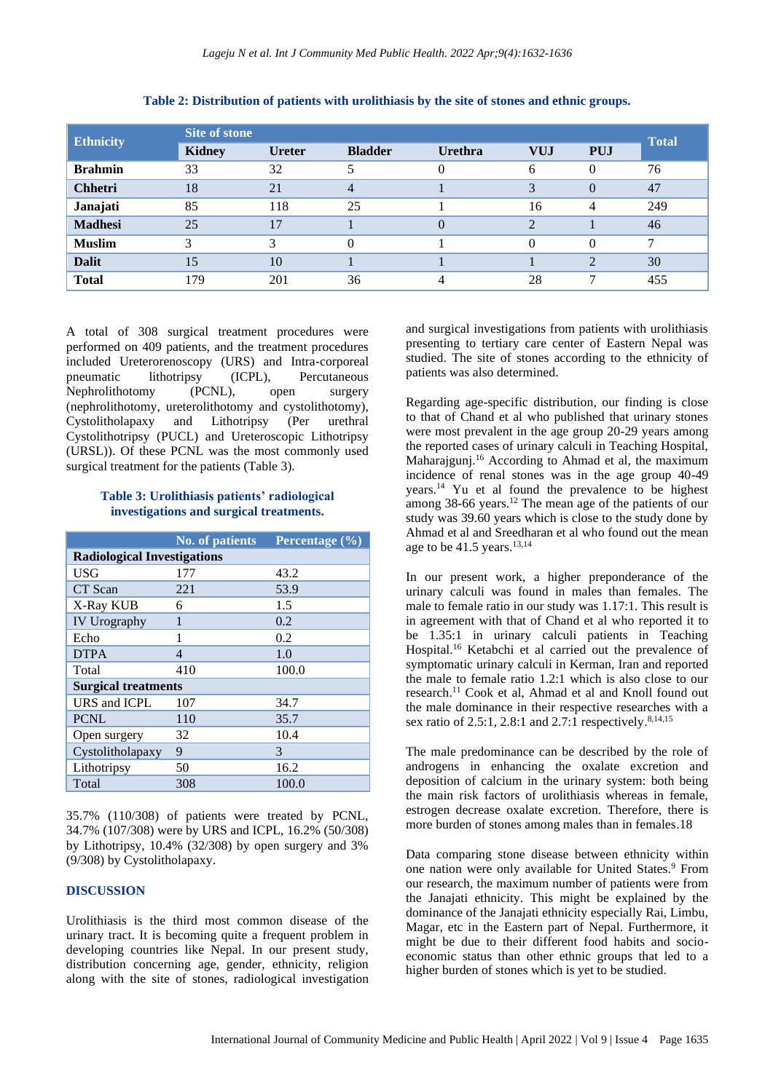| <b>Ethnicity</b> | Site of stone |               |                |                |                |                |              |
|------------------|---------------|---------------|----------------|----------------|----------------|----------------|--------------|
|                  | <b>Kidney</b> | <b>Ureter</b> | <b>Bladder</b> | <b>Urethra</b> | <b>VUJ</b>     | <b>PUJ</b>     | <b>Total</b> |
| <b>Brahmin</b>   | 33            | 32            |                | 0              | 6              | $\Omega$       | 76           |
| <b>Chhetri</b>   | 18            | 21            | 4              |                | 3              | $\Omega$       | 47           |
| Janajati         | 85            | 118           | 25             |                | 16             | 4              | 249          |
| <b>Madhesi</b>   | 25            | 17            |                | $\Omega$       | $\overline{2}$ |                | 46           |
| <b>Muslim</b>    | 3             | 3             | 0              |                | $\theta$       |                | ┑            |
| <b>Dalit</b>     | 15            | 10            |                |                |                | $\mathfrak{D}$ | 30           |
| <b>Total</b>     | 179           | 201           | 36             | 4              | 28             | ℸ              | 455          |

#### **Table 2: Distribution of patients with urolithiasis by the site of stones and ethnic groups.**

A total of 308 surgical treatment procedures were performed on 409 patients, and the treatment procedures included Ureterorenoscopy (URS) and Intra-corporeal pneumatic lithotripsy (ICPL), Percutaneous Nephrolithotomy (PCNL), open surgery (nephrolithotomy, ureterolithotomy and cystolithotomy), Cystolitholapaxy and Lithotripsy (Per urethral Cystolithotripsy (PUCL) and Ureteroscopic Lithotripsy (URSL)). Of these PCNL was the most commonly used surgical treatment for the patients (Table 3).

#### **Table 3: Urolithiasis patients' radiological investigations and surgical treatments.**

|                                    | <b>No. of patients</b> | Percentage (%) |  |  |  |  |
|------------------------------------|------------------------|----------------|--|--|--|--|
| <b>Radiological Investigations</b> |                        |                |  |  |  |  |
| <b>USG</b>                         | 177                    | 43.2           |  |  |  |  |
| CT Scan                            | 221                    | 53.9           |  |  |  |  |
| X-Ray KUB                          | 6                      | 1.5            |  |  |  |  |
| <b>IV Urography</b>                | 1                      | 0.2            |  |  |  |  |
| Echo                               | 1                      | 0.2            |  |  |  |  |
| <b>DTPA</b>                        | 4                      | 1.0            |  |  |  |  |
| Total                              | 410                    | 100.0          |  |  |  |  |
| <b>Surgical treatments</b>         |                        |                |  |  |  |  |
| URS and ICPL                       | 107                    | 34.7           |  |  |  |  |
| <b>PCNL</b>                        | 110                    | 35.7           |  |  |  |  |
| Open surgery                       | 32                     | 10.4           |  |  |  |  |
| Cystolitholapaxy                   | 9                      | 3              |  |  |  |  |
| Lithotripsy                        | 50                     | 16.2           |  |  |  |  |
| Total                              | 308                    | 100.0          |  |  |  |  |

35.7% (110/308) of patients were treated by PCNL, 34.7% (107/308) were by URS and ICPL, 16.2% (50/308) by Lithotripsy, 10.4% (32/308) by open surgery and 3% (9/308) by Cystolitholapaxy.

#### **DISCUSSION**

Urolithiasis is the third most common disease of the urinary tract. It is becoming quite a frequent problem in developing countries like Nepal. In our present study, distribution concerning age, gender, ethnicity, religion along with the site of stones, radiological investigation and surgical investigations from patients with urolithiasis presenting to tertiary care center of Eastern Nepal was studied. The site of stones according to the ethnicity of patients was also determined.

Regarding age-specific distribution, our finding is close to that of Chand et al who published that urinary stones were most prevalent in the age group 20-29 years among the reported cases of urinary calculi in Teaching Hospital, Maharajgunj. <sup>16</sup> According to Ahmad et al, the maximum incidence of renal stones was in the age group 40-49 years. <sup>14</sup> Yu et al found the prevalence to be highest among  $38-66$  years.<sup>12</sup> The mean age of the patients of our study was 39.60 years which is close to the study done by Ahmad et al and Sreedharan et al who found out the mean age to be  $41.5$  years.<sup>13,14</sup>

In our present work, a higher preponderance of the urinary calculi was found in males than females. The male to female ratio in our study was 1.17:1. This result is in agreement with that of Chand et al who reported it to be 1.35:1 in urinary calculi patients in Teaching Hospital. <sup>16</sup> Ketabchi et al carried out the prevalence of symptomatic urinary calculi in Kerman, Iran and reported the male to female ratio 1.2:1 which is also close to our research. <sup>11</sup> Cook et al, Ahmad et al and Knoll found out the male dominance in their respective researches with a sex ratio of 2.5:1, 2.8:1 and 2.7:1 respectively.<sup>8,14,15</sup>

The male predominance can be described by the role of androgens in enhancing the oxalate excretion and deposition of calcium in the urinary system: both being the main risk factors of urolithiasis whereas in female, estrogen decrease oxalate excretion. Therefore, there is more burden of stones among males than in females.18

Data comparing stone disease between ethnicity within one nation were only available for United States.<sup>9</sup> From our research, the maximum number of patients were from the Janajati ethnicity. This might be explained by the dominance of the Janajati ethnicity especially Rai, Limbu, Magar, etc in the Eastern part of Nepal. Furthermore, it might be due to their different food habits and socioeconomic status than other ethnic groups that led to a higher burden of stones which is yet to be studied.